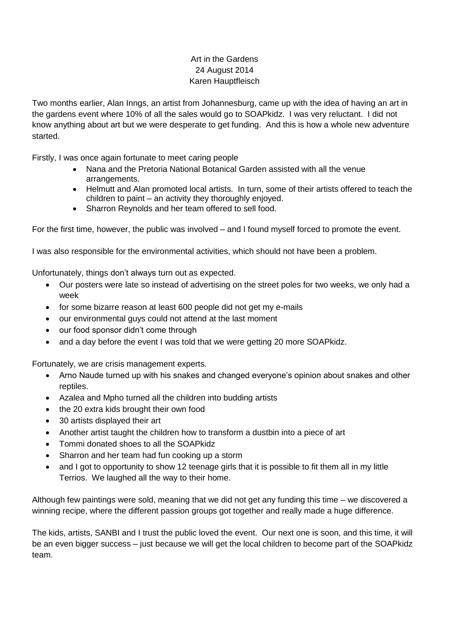## Art in the Gardens 24 August 2014 Karen Hauptfleisch

Two months earlier, Alan Inngs, an artist from Johannesburg, came up with the idea of having an art in the gardens event where 10% of all the sales would go to SOAPkidz. I was very reluctant. I did not know anything about art but we were desperate to get funding. And this is how a whole new adventure started.

Firstly, I was once again fortunate to meet caring people

- Nana and the Pretoria National Botanical Garden assisted with all the venue arrangements.
- Helmutt and Alan promoted local artists. In turn, some of their artists offered to teach the children to paint – an activity they thoroughly enjoyed.
- Sharron Reynolds and her team offered to sell food.

For the first time, however, the public was involved – and I found myself forced to promote the event.

I was also responsible for the environmental activities, which should not have been a problem.

Unfortunately, things don't always turn out as expected.

- Our posters were late so instead of advertising on the street poles for two weeks, we only had a week
- for some bizarre reason at least 600 people did not get my e-mails
- our environmental guys could not attend at the last moment
- our food sponsor didn't come through
- and a day before the event I was told that we were getting 20 more SOAPkidz.

Fortunately, we are crisis management experts.

- Arno Naude turned up with his snakes and changed everyone's opinion about snakes and other reptiles.
- Azalea and Mpho turned all the children into budding artists
- the 20 extra kids brought their own food
- 30 artists displayed their art
- Another artist taught the children how to transform a dustbin into a piece of art
- Tommi donated shoes to all the SOAPkidz
- Sharron and her team had fun cooking up a storm
- and I got to opportunity to show 12 teenage girls that it is possible to fit them all in my little Terrios. We laughed all the way to their home.

Although few paintings were sold, meaning that we did not get any funding this time – we discovered a winning recipe, where the different passion groups got together and really made a huge difference.

The kids, artists, SANBI and I trust the public loved the event. Our next one is soon, and this time, it will be an even bigger success – just because we will get the local children to become part of the SOAPkidz team.